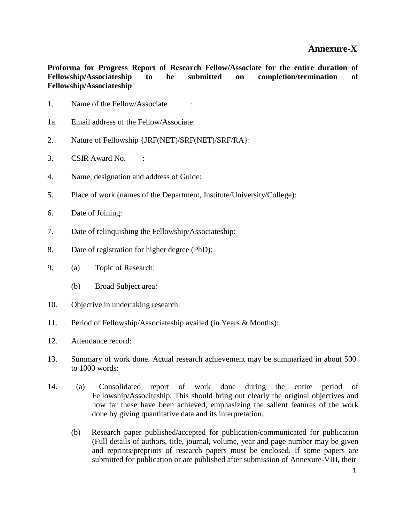**Proforma for Progress Report of Research Fellow/Associate for the entire duration of Fellowship/Associateship to be submitted on completion/termination of Fellowship/Associateship**

- 1. Name of the Fellow/Associate :
- 1a. Email address of the Fellow/Associate:
- 2. Nature of Fellowship {JRF(NET)/SRF(NET)/SRF/RA}:
- 3. CSIR Award No. :
- 4. Name, designation and address of Guide:
- 5. Place of work (names of the Department, Institute/University/College):
- 6. Date of Joining:
- 7. Date of relinquishing the Fellowship/Associateship:
- 8. Date of registration for higher degree (PhD):
- 9. (a) Topic of Research:
	- (b) Broad Subject area:
- 10. Objective in undertaking research:
- 11. Period of Fellowship/Associateship availed (in Years & Months):
- 12. Attendance record:
- 13. Summary of work done. Actual research achievement may be summarized in about 500 to 1000 words:
- 14. (a) Consolidated report of work done during the entire period of Fellowship/Associteship. This should bring out clearly the original objectives and how far these have been achieved, emphasizing the salient features of the work done by giving quantitative data and its interpretation.
	- (b) Research paper published/accepted for publication/communicated for publication (Full details of authors, title, journal, volume, year and page number may be given and reprints/preprints of research papers must be enclosed. If some papers are submitted for publication or are published after submission of Annexure-VIII, their